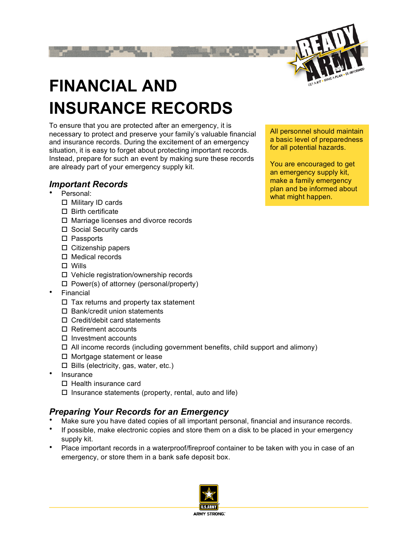

## **FINANCIAL AND INSURANCE RECORDS**

To ensure that you are protected after an emergency, it is necessary to protect and preserve your family's valuable financial and insurance records. During the excitement of an emergency situation, it is easy to forget about protecting important records. Instead, prepare for such an event by making sure these records are already part of your emergency supply kit.

## *Important Records*

- Personal:
	- □ Military ID cards
	- $\square$  Birth certificate
	- □ Marriage licenses and divorce records
	- $\square$  Social Security cards
	- □ Passports
	- $\square$  Citizenship papers
	- $\Box$  Medical records
	- □ Wills
	- Vehicle registration/ownership records
	- $\Box$  Power(s) of attorney (personal/property)
- **Financial** 
	- $\Box$  Tax returns and property tax statement
	- $\square$  Bank/credit union statements
	- □ Credit/debit card statements
	- $\square$  Retirement accounts
	- $\square$  Investment accounts
	- $\Box$  All income records (including government benefits, child support and alimony)
	- □ Mortgage statement or lease
	- $\Box$  Bills (electricity, gas, water, etc.)
- Insurance
	- $\Box$  Health insurance card
	- $\Box$  Insurance statements (property, rental, auto and life)

## *Preparing Your Records for an Emergency*

- Make sure you have dated copies of all important personal, financial and insurance records.
- If possible, make electronic copies and store them on a disk to be placed in your emergency supply kit.
- Place important records in a waterproof/fireproof container to be taken with you in case of an emergency, or store them in a bank safe deposit box.



All personnel should maintain a basic level of preparedness for all potential hazards.

You are encouraged to get an emergency supply kit, make a family emergency plan and be informed about what might happen.